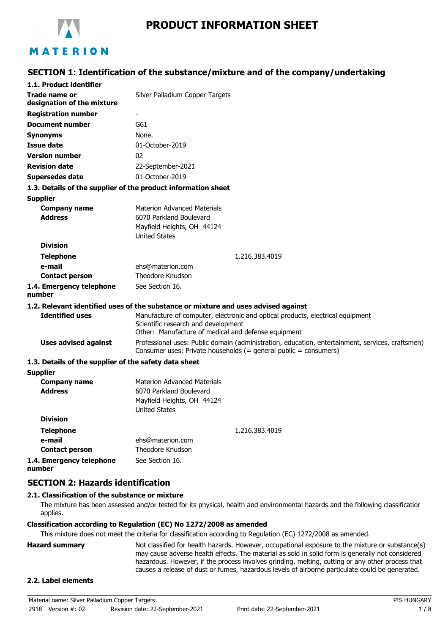

# **PRODUCT INFORMATION SHEET**

# **SECTION 1: Identification of the substance/mixture and of the company/undertaking**

| 1.1. Product identifier                               |                                                                                                                                                                              |  |
|-------------------------------------------------------|------------------------------------------------------------------------------------------------------------------------------------------------------------------------------|--|
| Trade name or<br>designation of the mixture           | Silver Palladium Copper Targets                                                                                                                                              |  |
| <b>Registration number</b>                            |                                                                                                                                                                              |  |
| <b>Document number</b>                                | G61                                                                                                                                                                          |  |
| <b>Synonyms</b>                                       | None.                                                                                                                                                                        |  |
| <b>Issue date</b>                                     | 01-October-2019                                                                                                                                                              |  |
| <b>Version number</b>                                 | 02                                                                                                                                                                           |  |
| <b>Revision date</b>                                  | 22-September-2021                                                                                                                                                            |  |
| Supersedes date                                       | 01-October-2019                                                                                                                                                              |  |
|                                                       | 1.3. Details of the supplier of the product information sheet                                                                                                                |  |
| <b>Supplier</b>                                       |                                                                                                                                                                              |  |
| <b>Company name</b>                                   | <b>Materion Advanced Materials</b>                                                                                                                                           |  |
| <b>Address</b>                                        | 6070 Parkland Boulevard                                                                                                                                                      |  |
|                                                       | Mayfield Heights, OH 44124                                                                                                                                                   |  |
| <b>Division</b>                                       | <b>United States</b>                                                                                                                                                         |  |
|                                                       |                                                                                                                                                                              |  |
| <b>Telephone</b><br>e-mail                            | 1.216.383.4019<br>ehs@materion.com                                                                                                                                           |  |
| <b>Contact person</b>                                 | Theodore Knudson                                                                                                                                                             |  |
| 1.4. Emergency telephone<br>number                    | See Section 16.                                                                                                                                                              |  |
|                                                       | 1.2. Relevant identified uses of the substance or mixture and uses advised against                                                                                           |  |
| <b>Identified uses</b>                                | Manufacture of computer, electronic and optical products, electrical equipment<br>Scientific research and development<br>Other: Manufacture of medical and defense equipment |  |
| <b>Uses advised against</b>                           | Professional uses: Public domain (administration, education, entertainment, services, craftsmen)<br>Consumer uses: Private households (= general public = consumers)         |  |
| 1.3. Details of the supplier of the safety data sheet |                                                                                                                                                                              |  |
| <b>Supplier</b>                                       |                                                                                                                                                                              |  |
| <b>Company name</b><br><b>Address</b>                 | <b>Materion Advanced Materials</b><br>6070 Parkland Boulevard<br>Mayfield Heights, OH 44124<br><b>United States</b>                                                          |  |
| <b>Division</b>                                       |                                                                                                                                                                              |  |
| <b>Telephone</b>                                      | 1.216.383.4019                                                                                                                                                               |  |
| e-mail                                                | ehs@materion.com                                                                                                                                                             |  |
| <b>Contact person</b>                                 | Theodore Knudson                                                                                                                                                             |  |
| 1.4. Emergency telephone                              | See Section 16.                                                                                                                                                              |  |

**1.4. Emergency telephone number**

### **SECTION 2: Hazards identification**

### **2.1. Classification of the substance or mixture**

The mixture has been assessed and/or tested for its physical, health and environmental hazards and the following classification applies.

### **Classification according to Regulation (EC) No 1272/2008 as amended**

This mixture does not meet the criteria for classification according to Regulation (EC) 1272/2008 as amended.

**Hazard summary** Not classified for health hazards. However, occupational exposure to the mixture or substance(s) may cause adverse health effects. The material as sold in solid form is generally not considered hazardous. However, if the process involves grinding, melting, cutting or any other process that causes a release of dust or fumes, hazardous levels of airborne particulate could be generated.

#### **2.2. Label elements**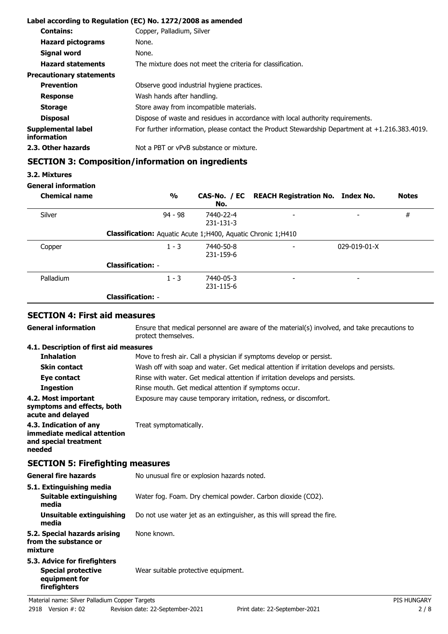|                                   | Label according to Regulation (EC) No. 1272/2008 as amended                                       |
|-----------------------------------|---------------------------------------------------------------------------------------------------|
| <b>Contains:</b>                  | Copper, Palladium, Silver                                                                         |
| <b>Hazard pictograms</b>          | None.                                                                                             |
| Signal word                       | None.                                                                                             |
| <b>Hazard statements</b>          | The mixture does not meet the criteria for classification.                                        |
| <b>Precautionary statements</b>   |                                                                                                   |
| <b>Prevention</b>                 | Observe good industrial hygiene practices.                                                        |
| <b>Response</b>                   | Wash hands after handling.                                                                        |
| <b>Storage</b>                    | Store away from incompatible materials.                                                           |
| <b>Disposal</b>                   | Dispose of waste and residues in accordance with local authority requirements.                    |
| Supplemental label<br>information | For further information, please contact the Product Stewardship Department at $+1.216.383.4019$ . |
| 2.3. Other hazards                | Not a PBT or vPvB substance or mixture.                                                           |

# **SECTION 3: Composition/information on ingredients**

### **3.2. Mixtures**

### **General information**

| <b>Chemical name</b> | $\frac{1}{2}$                                                  | No.                    | CAS-No. / EC REACH Registration No. Index No. |                          | <b>Notes</b> |
|----------------------|----------------------------------------------------------------|------------------------|-----------------------------------------------|--------------------------|--------------|
| Silver               | $94 - 98$                                                      | 7440-22-4<br>231-131-3 | $\overline{\phantom{0}}$                      | -                        | #            |
|                      | Classification: Aquatic Acute 1; H400, Aquatic Chronic 1; H410 |                        |                                               |                          |              |
| Copper               | $1 - 3$                                                        | 7440-50-8<br>231-159-6 | $\overline{\phantom{0}}$                      | $029 - 019 - 01 - X$     |              |
|                      | <b>Classification: -</b>                                       |                        |                                               |                          |              |
| Palladium            | $1 - 3$                                                        | 7440-05-3<br>231-115-6 | $\overline{\phantom{a}}$                      | $\overline{\phantom{0}}$ |              |
|                      | <b>Classification: -</b>                                       |                        |                                               |                          |              |

# **SECTION 4: First aid measures**

| <b>General information</b>                                                                 | Ensure that medical personnel are aware of the material(s) involved, and take precautions to<br>protect themselves. |                    |  |
|--------------------------------------------------------------------------------------------|---------------------------------------------------------------------------------------------------------------------|--------------------|--|
| 4.1. Description of first aid measures                                                     |                                                                                                                     |                    |  |
| <b>Inhalation</b>                                                                          | Move to fresh air. Call a physician if symptoms develop or persist.                                                 |                    |  |
| <b>Skin contact</b>                                                                        | Wash off with soap and water. Get medical attention if irritation develops and persists.                            |                    |  |
| Eye contact                                                                                | Rinse with water. Get medical attention if irritation develops and persists.                                        |                    |  |
| <b>Ingestion</b>                                                                           | Rinse mouth. Get medical attention if symptoms occur.                                                               |                    |  |
| 4.2. Most important<br>symptoms and effects, both<br>acute and delayed                     | Exposure may cause temporary irritation, redness, or discomfort.                                                    |                    |  |
| 4.3. Indication of any<br>immediate medical attention<br>and special treatment<br>needed   | Treat symptomatically.                                                                                              |                    |  |
| <b>SECTION 5: Firefighting measures</b>                                                    |                                                                                                                     |                    |  |
| <b>General fire hazards</b>                                                                | No unusual fire or explosion hazards noted.                                                                         |                    |  |
| 5.1. Extinguishing media                                                                   |                                                                                                                     |                    |  |
| <b>Suitable extinguishing</b><br>media                                                     | Water fog. Foam. Dry chemical powder. Carbon dioxide (CO2).                                                         |                    |  |
| <b>Unsuitable extinguishing</b><br>media                                                   | Do not use water jet as an extinguisher, as this will spread the fire.                                              |                    |  |
| 5.2. Special hazards arising<br>from the substance or<br>mixture                           | None known.                                                                                                         |                    |  |
| 5.3. Advice for firefighters<br><b>Special protective</b><br>equipment for<br>firefighters | Wear suitable protective equipment.                                                                                 |                    |  |
| Material name: Silver Palladium Copper Targets                                             |                                                                                                                     | <b>PIS HUNGARY</b> |  |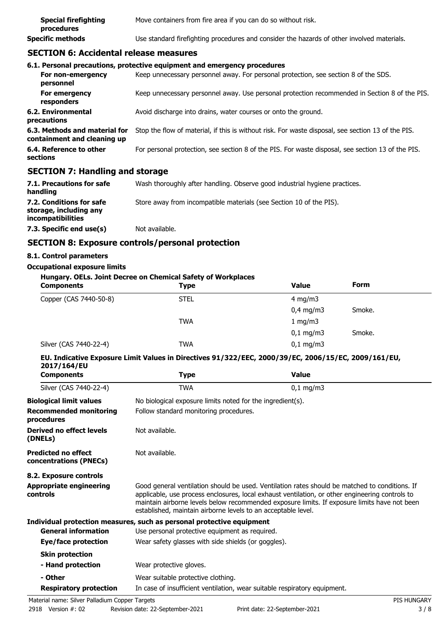| <b>Special firefighting</b><br>procedures | Move containers from fire area if you can do so without risk.                              |
|-------------------------------------------|--------------------------------------------------------------------------------------------|
| Specific methods                          | Use standard firefighting procedures and consider the hazards of other involved materials. |

## **SECTION 6: Accidental release measures**

|                                                              | 6.1. Personal precautions, protective equipment and emergency procedures                           |
|--------------------------------------------------------------|----------------------------------------------------------------------------------------------------|
| For non-emergency<br>personnel                               | Keep unnecessary personnel away. For personal protection, see section 8 of the SDS.                |
| For emergency<br>responders                                  | Keep unnecessary personnel away. Use personal protection recommended in Section 8 of the PIS.      |
| 6.2. Environmental<br>precautions                            | Avoid discharge into drains, water courses or onto the ground.                                     |
| 6.3. Methods and material for<br>containment and cleaning up | Stop the flow of material, if this is without risk. For waste disposal, see section 13 of the PIS. |
| 6.4. Reference to other<br>sections                          | For personal protection, see section 8 of the PIS. For waste disposal, see section 13 of the PIS.  |
| CECTION 7: Handling and storage                              |                                                                                                    |

### **SECTION 7: Handling and storage**

| 7.1. Precautions for safe<br>handling                                   | Wash thoroughly after handling. Observe good industrial hygiene practices. |
|-------------------------------------------------------------------------|----------------------------------------------------------------------------|
| 7.2. Conditions for safe<br>storage, including any<br>incompatibilities | Store away from incompatible materials (see Section 10 of the PIS).        |
| 7.3. Specific end use(s)                                                | Not available.                                                             |

# **SECTION 8: Exposure controls/personal protection**

### **8.1. Control parameters**

#### **Occupational exposure limits**

| Hungary. OELs. Joint Decree on Chemical Safety of Workplaces |             |                      |             |  |
|--------------------------------------------------------------|-------------|----------------------|-------------|--|
| <b>Components</b>                                            | <b>Type</b> | <b>Value</b>         | <b>Form</b> |  |
| Copper (CAS 7440-50-8)                                       | <b>STEL</b> | $4 \text{ mg/m}$     |             |  |
|                                                              |             | $0,4$ mg/m3          | Smoke.      |  |
|                                                              | TWA         | 1 mg/m $3$           |             |  |
|                                                              |             | $0,1 \, \text{mg/m}$ | Smoke.      |  |
| Silver (CAS 7440-22-4)                                       | <b>TWA</b>  | $0,1$ mg/m3          |             |  |

### **EU. Indicative Exposure Limit Values in Directives 91/322/EEC, 2000/39/EC, 2006/15/EC, 2009/161/EU, 2017/164/EU**

| <b>Components</b>                                    | Type                                                                      | <b>Value</b>                                                                                                                                                                                                                                                                                      |  |  |
|------------------------------------------------------|---------------------------------------------------------------------------|---------------------------------------------------------------------------------------------------------------------------------------------------------------------------------------------------------------------------------------------------------------------------------------------------|--|--|
| Silver (CAS 7440-22-4)                               | TWA                                                                       | $0,1 \, \text{mg/m}$                                                                                                                                                                                                                                                                              |  |  |
| <b>Biological limit values</b>                       | No biological exposure limits noted for the ingredient(s).                |                                                                                                                                                                                                                                                                                                   |  |  |
| <b>Recommended monitoring</b><br>procedures          |                                                                           | Follow standard monitoring procedures.                                                                                                                                                                                                                                                            |  |  |
| Derived no effect levels<br>(DNELs)                  | Not available.                                                            |                                                                                                                                                                                                                                                                                                   |  |  |
| <b>Predicted no effect</b><br>concentrations (PNECs) | Not available.                                                            |                                                                                                                                                                                                                                                                                                   |  |  |
| 8.2. Exposure controls                               |                                                                           |                                                                                                                                                                                                                                                                                                   |  |  |
| <b>Appropriate engineering</b><br><b>controls</b>    | established, maintain airborne levels to an acceptable level.             | Good general ventilation should be used. Ventilation rates should be matched to conditions. If<br>applicable, use process enclosures, local exhaust ventilation, or other engineering controls to<br>maintain airborne levels below recommended exposure limits. If exposure limits have not been |  |  |
|                                                      | Individual protection measures, such as personal protective equipment     |                                                                                                                                                                                                                                                                                                   |  |  |
| <b>General information</b>                           | Use personal protective equipment as required.                            |                                                                                                                                                                                                                                                                                                   |  |  |
| Eye/face protection                                  | Wear safety glasses with side shields (or goggles).                       |                                                                                                                                                                                                                                                                                                   |  |  |
| <b>Skin protection</b>                               |                                                                           |                                                                                                                                                                                                                                                                                                   |  |  |
| - Hand protection                                    | Wear protective gloves.                                                   |                                                                                                                                                                                                                                                                                                   |  |  |
| - Other                                              | Wear suitable protective clothing.                                        |                                                                                                                                                                                                                                                                                                   |  |  |
| <b>Respiratory protection</b>                        | In case of insufficient ventilation, wear suitable respiratory equipment. |                                                                                                                                                                                                                                                                                                   |  |  |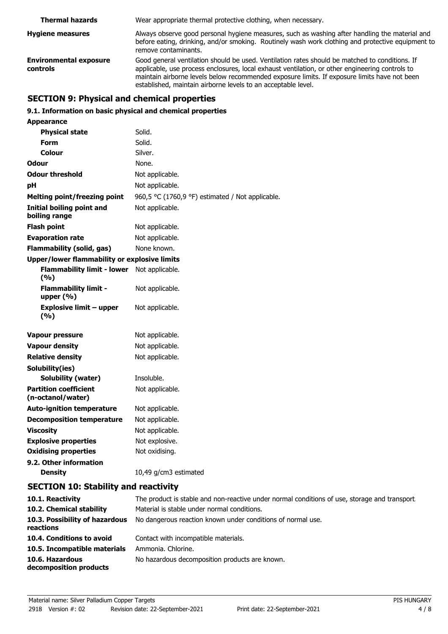| <b>Thermal hazards</b>                           | Wear appropriate thermal protective clothing, when necessary.                                                                                                                                                                                                                                                                                                      |
|--------------------------------------------------|--------------------------------------------------------------------------------------------------------------------------------------------------------------------------------------------------------------------------------------------------------------------------------------------------------------------------------------------------------------------|
| <b>Hygiene measures</b>                          | Always observe good personal hygiene measures, such as washing after handling the material and<br>before eating, drinking, and/or smoking. Routinely wash work clothing and protective equipment to<br>remove contaminants.                                                                                                                                        |
| <b>Environmental exposure</b><br><b>controls</b> | Good general ventilation should be used. Ventilation rates should be matched to conditions. If<br>applicable, use process enclosures, local exhaust ventilation, or other engineering controls to<br>maintain airborne levels below recommended exposure limits. If exposure limits have not been<br>established, maintain airborne levels to an acceptable level. |

# **SECTION 9: Physical and chemical properties**

### **9.1. Information on basic physical and chemical properties**

| <b>Appearance</b>                                   |                                                  |
|-----------------------------------------------------|--------------------------------------------------|
| <b>Physical state</b>                               | Solid.                                           |
| <b>Form</b>                                         | Solid.                                           |
| Colour                                              | Silver.                                          |
| Odour                                               | None.                                            |
| <b>Odour threshold</b>                              | Not applicable.                                  |
| pH                                                  | Not applicable.                                  |
| <b>Melting point/freezing point</b>                 | 960,5 °C (1760,9 °F) estimated / Not applicable. |
| Initial boiling point and<br>boiling range          | Not applicable.                                  |
| <b>Flash point</b>                                  | Not applicable.                                  |
| <b>Evaporation rate</b>                             | Not applicable.                                  |
| <b>Flammability (solid, gas)</b>                    | None known.                                      |
| <b>Upper/lower flammability or explosive limits</b> |                                                  |
| <b>Flammability limit - lower</b><br>(%)            | Not applicable.                                  |
| <b>Flammability limit -</b><br>upper (%)            | Not applicable.                                  |
| <b>Explosive limit - upper</b><br>(%)               | Not applicable.                                  |
| <b>Vapour pressure</b>                              | Not applicable.                                  |
| <b>Vapour density</b>                               | Not applicable.                                  |
| <b>Relative density</b>                             | Not applicable.                                  |
| Solubility(ies)                                     |                                                  |
| <b>Solubility (water)</b>                           | Insoluble.                                       |
| <b>Partition coefficient</b><br>(n-octanol/water)   | Not applicable.                                  |
| <b>Auto-ignition temperature</b>                    | Not applicable.                                  |
| <b>Decomposition temperature</b>                    | Not applicable.                                  |
| <b>Viscosity</b>                                    | Not applicable.                                  |
| <b>Explosive properties</b>                         | Not explosive.                                   |
| <b>Oxidising properties</b>                         | Not oxidising.                                   |
| 9.2. Other information                              |                                                  |
| <b>Density</b>                                      | 10,49 g/cm3 estimated                            |

# **SECTION 10: Stability and reactivity**

| 10.1. Reactivity                            | The product is stable and non-reactive under normal conditions of use, storage and transport. |
|---------------------------------------------|-----------------------------------------------------------------------------------------------|
| 10.2. Chemical stability                    | Material is stable under normal conditions.                                                   |
| 10.3. Possibility of hazardous<br>reactions | No dangerous reaction known under conditions of normal use.                                   |
| 10.4. Conditions to avoid                   | Contact with incompatible materials.                                                          |
| 10.5. Incompatible materials                | Ammonia. Chlorine.                                                                            |
| 10.6. Hazardous<br>decomposition products   | No hazardous decomposition products are known.                                                |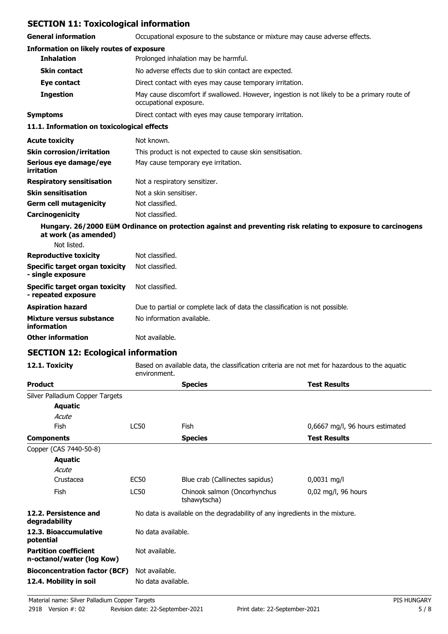# **SECTION 11: Toxicological information**

| SECTION II. TOXICOlOGICAI IIIIOHIMAGOH                |                                                                                                                        |
|-------------------------------------------------------|------------------------------------------------------------------------------------------------------------------------|
| <b>General information</b>                            | Occupational exposure to the substance or mixture may cause adverse effects.                                           |
| <b>Information on likely routes of exposure</b>       |                                                                                                                        |
| <b>Inhalation</b>                                     | Prolonged inhalation may be harmful.                                                                                   |
| <b>Skin contact</b>                                   | No adverse effects due to skin contact are expected.                                                                   |
| Eye contact                                           | Direct contact with eyes may cause temporary irritation.                                                               |
| <b>Ingestion</b>                                      | May cause discomfort if swallowed. However, ingestion is not likely to be a primary route of<br>occupational exposure. |
| <b>Symptoms</b>                                       | Direct contact with eyes may cause temporary irritation.                                                               |
| 11.1. Information on toxicological effects            |                                                                                                                        |
| <b>Acute toxicity</b>                                 | Not known.                                                                                                             |
| <b>Skin corrosion/irritation</b>                      | This product is not expected to cause skin sensitisation.                                                              |
| Serious eye damage/eye<br><b>irritation</b>           | May cause temporary eye irritation.                                                                                    |
| <b>Respiratory sensitisation</b>                      | Not a respiratory sensitizer.                                                                                          |
| <b>Skin sensitisation</b>                             | Not a skin sensitiser.                                                                                                 |
| <b>Germ cell mutagenicity</b>                         | Not classified.                                                                                                        |
| Carcinogenicity                                       | Not classified.                                                                                                        |
| at work (as amended)<br>Not listed.                   | Hungary. 26/2000 EüM Ordinance on protection against and preventing risk relating to exposure to carcinogens           |
| <b>Reproductive toxicity</b>                          | Not classified.                                                                                                        |
| Specific target organ toxicity<br>- single exposure   | Not classified.                                                                                                        |
| Specific target organ toxicity<br>- repeated exposure | Not classified.                                                                                                        |
| <b>Aspiration hazard</b>                              | Due to partial or complete lack of data the classification is not possible.                                            |
| Mixture versus substance<br>information               | No information available.                                                                                              |
| <b>Other information</b>                              | Not available.                                                                                                         |
|                                                       |                                                                                                                        |

# **SECTION 12: Ecological information**

**12.1. Toxicity** Based on available data, the classification criteria are not met for hazardous to the aquatic environment.

| <b>Product</b>                                            |                | <b>Species</b>                                                               | <b>Test Results</b>             |  |
|-----------------------------------------------------------|----------------|------------------------------------------------------------------------------|---------------------------------|--|
| Silver Palladium Copper Targets                           |                |                                                                              |                                 |  |
| <b>Aquatic</b>                                            |                |                                                                              |                                 |  |
| Acute                                                     |                |                                                                              |                                 |  |
| Fish                                                      | LC50           | <b>Fish</b>                                                                  | 0,6667 mg/l, 96 hours estimated |  |
| <b>Components</b>                                         |                | <b>Species</b>                                                               | <b>Test Results</b>             |  |
| Copper (CAS 7440-50-8)                                    |                |                                                                              |                                 |  |
| Aquatic                                                   |                |                                                                              |                                 |  |
| Acute                                                     |                |                                                                              |                                 |  |
| Crustacea                                                 | EC50           | Blue crab (Callinectes sapidus)                                              | $0,0031$ mg/l                   |  |
| Fish                                                      | <b>LC50</b>    | Chinook salmon (Oncorhynchus<br>tshawytscha)                                 | $0,02$ mg/l, 96 hours           |  |
| 12.2. Persistence and<br>degradability                    |                | No data is available on the degradability of any ingredients in the mixture. |                                 |  |
| 12.3. Bioaccumulative<br>potential                        |                | No data available.                                                           |                                 |  |
| <b>Partition coefficient</b><br>n-octanol/water (log Kow) | Not available. |                                                                              |                                 |  |
| <b>Bioconcentration factor (BCF)</b>                      | Not available. |                                                                              |                                 |  |
| 12.4. Mobility in soil                                    |                | No data available.                                                           |                                 |  |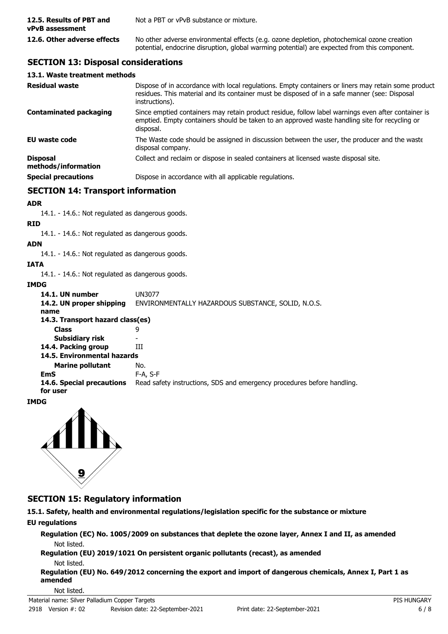| 12.5. Results of PBT and<br>vPvB assessment | Not a PBT or vPvB substance or mixture.                                                                                                                                                    |
|---------------------------------------------|--------------------------------------------------------------------------------------------------------------------------------------------------------------------------------------------|
| 12.6. Other adverse effects                 | No other adverse environmental effects (e.g. ozone depletion, photochemical ozone creation<br>potential, endocrine disruption, global warming potential) are expected from this component. |

# **SECTION 13: Disposal considerations**

### **13.1. Waste treatment methods**

| <b>Residual waste</b>                  | Dispose of in accordance with local regulations. Empty containers or liners may retain some product<br>residues. This material and its container must be disposed of in a safe manner (see: Disposal<br>instructions). |
|----------------------------------------|------------------------------------------------------------------------------------------------------------------------------------------------------------------------------------------------------------------------|
| <b>Contaminated packaging</b>          | Since emptied containers may retain product residue, follow label warnings even after container is<br>emptied. Empty containers should be taken to an approved waste handling site for recycling or<br>disposal.       |
| <b>EU waste code</b>                   | The Waste code should be assigned in discussion between the user, the producer and the waste<br>disposal company.                                                                                                      |
| <b>Disposal</b><br>methods/information | Collect and reclaim or dispose in sealed containers at licensed waste disposal site.                                                                                                                                   |
| <b>Special precautions</b>             | Dispose in accordance with all applicable regulations.                                                                                                                                                                 |

### **SECTION 14: Transport information**

### **ADR**

14.1. - 14.6.: Not regulated as dangerous goods.

#### **RID**

14.1. - 14.6.: Not regulated as dangerous goods.

### **ADN**

14.1. - 14.6.: Not regulated as dangerous goods.

### **IATA**

14.1. - 14.6.: Not regulated as dangerous goods.

### **IMDG**

**14.1. UN number** UN3077<br>**14.2. UN proper shipping** ENVIRO **14.2. UN proper shipping** ENVIRONMENTALLY HAZARDOUS SUBSTANCE, SOLID, N.O.S. **name Class** 9 **14.3. Transport hazard class(es) Subsidiary risk** 14.4. Packing group **III Marine pollutant** No. **14.5. Environmental hazards EmS** F-A, S-F **14.6. Special precautions** Read safety instructions, SDS and emergency procedures before handling. **for user**

### **IMDG**



### **SECTION 15: Regulatory information**

**15.1. Safety, health and environmental regulations/legislation specific for the substance or mixture**

### **EU regulations**

**Regulation (EC) No. 1005/2009 on substances that deplete the ozone layer, Annex I and II, as amended** Not listed.

**Regulation (EU) 2019/1021 On persistent organic pollutants (recast), as amended**

Not listed.

**Regulation (EU) No. 649/2012 concerning the export and import of dangerous chemicals, Annex I, Part 1 as amended**

#### Not listed.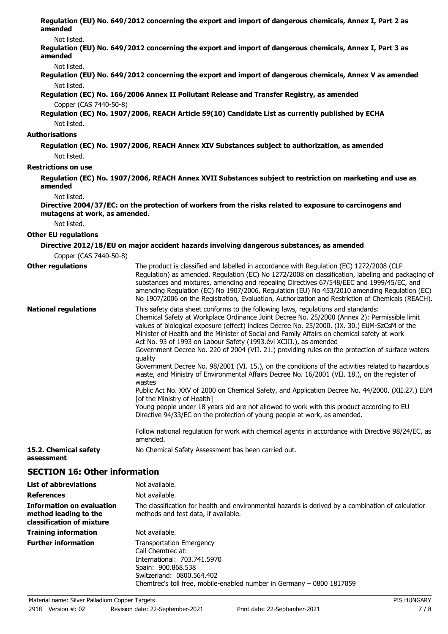**Regulation (EU) No. 649/2012 concerning the export and import of dangerous chemicals, Annex I, Part 2 as amended**

#### Not listed.

**Regulation (EU) No. 649/2012 concerning the export and import of dangerous chemicals, Annex I, Part 3 as amended**

Not listed.

**Regulation (EU) No. 649/2012 concerning the export and import of dangerous chemicals, Annex V as amended** Not listed.

**Regulation (EC) No. 166/2006 Annex II Pollutant Release and Transfer Registry, as amended**

Copper (CAS 7440-50-8)

**Regulation (EC) No. 1907/2006, REACH Article 59(10) Candidate List as currently published by ECHA** Not listed.

#### **Authorisations**

**Regulation (EC) No. 1907/2006, REACH Annex XIV Substances subject to authorization, as amended** Not listed.

#### **Restrictions on use**

**Regulation (EC) No. 1907/2006, REACH Annex XVII Substances subject to restriction on marketing and use as amended**

Not listed.

**Directive 2004/37/EC: on the protection of workers from the risks related to exposure to carcinogens and mutagens at work, as amended.**

Not listed.

#### **Other EU regulations**

#### **Directive 2012/18/EU on major accident hazards involving dangerous substances, as amended** Copper (CAS 7440-50-8)

| UUUUTI (CAJ / TTU-JU-U)             |                                                                                                                                                                                                                                                                                                                                                                                                                                                                                                                                                                                                                                                                                                                                                                                                                                                                                                                                                                                                                                                                                                                                                                                                                       |
|-------------------------------------|-----------------------------------------------------------------------------------------------------------------------------------------------------------------------------------------------------------------------------------------------------------------------------------------------------------------------------------------------------------------------------------------------------------------------------------------------------------------------------------------------------------------------------------------------------------------------------------------------------------------------------------------------------------------------------------------------------------------------------------------------------------------------------------------------------------------------------------------------------------------------------------------------------------------------------------------------------------------------------------------------------------------------------------------------------------------------------------------------------------------------------------------------------------------------------------------------------------------------|
| <b>Other regulations</b>            | The product is classified and labelled in accordance with Regulation (EC) 1272/2008 (CLP<br>Regulation) as amended. Regulation (EC) No 1272/2008 on classification, labeling and packaging of<br>substances and mixtures, amending and repealing Directives 67/548/EEC and 1999/45/EC, and<br>amending Regulation (EC) No 1907/2006. Regulation (EU) No 453/2010 amending Regulation (EC)<br>No 1907/2006 on the Registration, Evaluation, Authorization and Restriction of Chemicals (REACH).                                                                                                                                                                                                                                                                                                                                                                                                                                                                                                                                                                                                                                                                                                                        |
| <b>National regulations</b>         | This safety data sheet conforms to the following laws, regulations and standards:<br>Chemical Safety at Workplace Ordinance Joint Decree No. 25/2000 (Annex 2): Permissible limit<br>values of biological exposure (effect) indices Decree No. 25/2000. (IX. 30.) EüM-SzCsM of the<br>Minister of Health and the Minister of Social and Family Affairs on chemical safety at work<br>Act No. 93 of 1993 on Labour Safety (1993.évi XCIII.), as amended<br>Government Decree No. 220 of 2004 (VII. 21.) providing rules on the protection of surface waters<br>quality<br>Government Decree No. 98/2001 (VI. 15.), on the conditions of the activities related to hazardous<br>waste, and Ministry of Environmental Affairs Decree No. 16/2001 (VII. 18.), on the register of<br>wastes<br>Public Act No. XXV of 2000 on Chemical Safety, and Application Decree No. 44/2000. (XII.27.) EüM<br>[of the Ministry of Health]<br>Young people under 18 years old are not allowed to work with this product according to EU<br>Directive 94/33/EC on the protection of young people at work, as amended.<br>Follow national regulation for work with chemical agents in accordance with Directive 98/24/EC, as<br>amended. |
| 15.2. Chemical safety<br>assessment | No Chemical Safety Assessment has been carried out.                                                                                                                                                                                                                                                                                                                                                                                                                                                                                                                                                                                                                                                                                                                                                                                                                                                                                                                                                                                                                                                                                                                                                                   |

### **SECTION 16: Other information**

| <b>List of abbreviations</b>                                                           | Not available.                                                                                                                             |
|----------------------------------------------------------------------------------------|--------------------------------------------------------------------------------------------------------------------------------------------|
| <b>References</b>                                                                      | Not available.                                                                                                                             |
| <b>Information on evaluation</b><br>method leading to the<br>classification of mixture | The classification for health and environmental hazards is derived by a combination of calculatior<br>methods and test data, if available. |
| <b>Training information</b>                                                            | Not available.                                                                                                                             |
| <b>Further information</b>                                                             | <b>Transportation Emergency</b><br>Call Chemtrec at:<br>International: 703.741.5970<br>Spain: 900.868.538<br>Switzerland: 0800.564.402     |

Chemtrec's toll free, mobile-enabled number in Germany – 0800 1817059